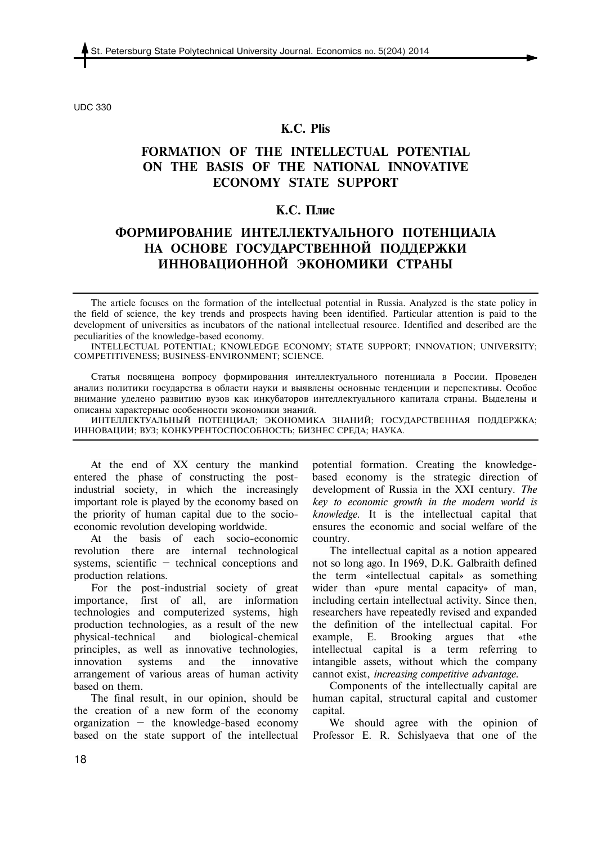UDC 330

### **K.С. Plis**

# **FORMATION OF THE INTELLECTUAL POTENTIAL ON THE BASIS OF THE NATIONAL INNOVATIVE ECONOMY STATE SUPPORT**

## **К.С. Плис**

## **ФОРМИРОВАНИЕ ИНТЕЛЛЕКТУАЛЬНОГО ПОТЕНЦИАЛА НА ОСНОВЕ ГОСУДАРСТВЕННОЙ ПОДДЕРЖКИ ИННОВАЦИОННОЙ ЭКОНОМИКИ СТРАНЫ**

The article focuses on the formation of the intellectual potential in Russia. Analyzed is the state policy in the field of science, the key trends and prospects having been identified. Particular attention is paid to the development of universities as incubators of the national intellectual resource. Identified and described are the peculiarities of the knowledge-based economy.

INTELLECTUAL POTENTIAL; KNOWLEDGE ECONOMY; STATE SUPPORT; INNOVATION; UNIVERSITY; COMPETITIVENESS; BUSINESS-ENVIRONMENT; SCIENCE.

Статья посвящена вопросу формирования интеллектуального потенциала в России. Проведен анализ политики государства в области науки и выявлены основные тенденции и перспективы. Особое внимание уделено развитию вузов как инкубаторов интеллектуального капитала страны. Выделены и описаны характерные особенности экономики знаний.

ИНТЕЛЛЕКТУАЛЬНЫЙ ПОТЕНЦИАЛ; ЭКОНОМИКА ЗНАНИЙ; ГОСУДАРСТВЕННАЯ ПОДДЕРЖКА; ИННОВАЦИИ; ВУЗ; КОНКУРЕНТОСПОСОБНОСТЬ; БИЗНЕС СРЕДА; НАУКА.

At the end of XX century the mankind entered the phase of constructing the postindustrial society, in which the increasingly important role is played by the economy based on the priority of human capital due to the socioeconomic revolution developing worldwide.

At the basis of each socio-economic revolution there are internal technological systems, scientific — technical conceptions and production relations.

For the post-industrial society of great importance, first of all, are information technologies and computerized systems, high production technologies, as a result of the new physical-technical and biological-chemical principles, as well as innovative technologies, innovation systems and the innovative arrangement of various areas of human activity based on them.

The final result, in our opinion, should be the creation of a new form of the economy organization  $-$  the knowledge-based economy based on the state support of the intellectual potential formation. Creating the knowledgebased economy is the strategic direction of development of Russia in the XXI century. *The key to economic growth in the modern world is knowledge.* It is the intellectual capital that ensures the economic and social welfare of the country.

The intellectual capital as a notion appeared not so long ago. In 1969, D.K. Galbraith defined the term «intellectual capital» as something wider than «pure mental capacity» of man, including certain intellectual activity. Since then, researchers have repeatedly revised and expanded the definition of the intellectual capital. For example, E. Brooking argues that «the intellectual capital is a term referring to intangible assets, without which the company cannot exist, *increasing competitive advantage.* 

Components of the intellectually capital are human capital, structural capital and customer capital.

We should agree with the opinion of Professor E. R. Schislyaeva that one of the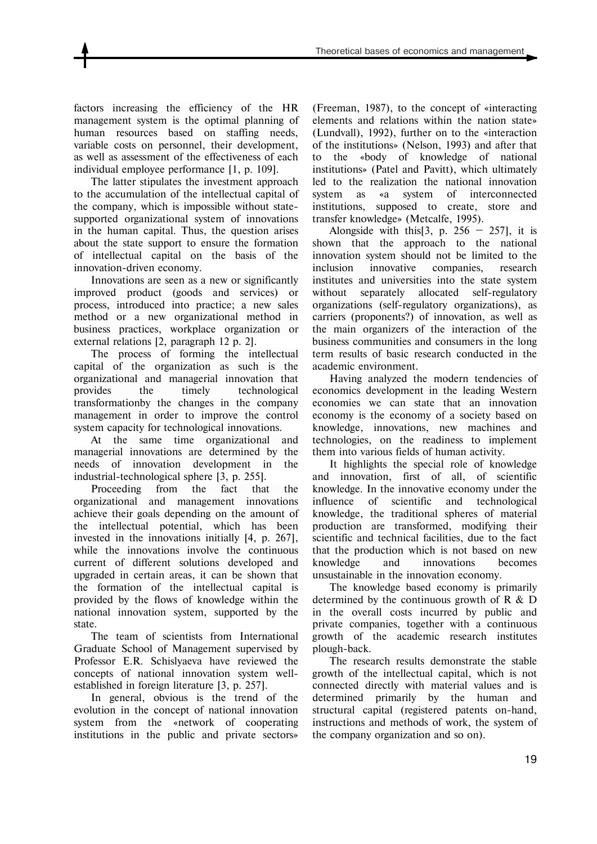factors increasing the efficiency of the HR management system is the optimal planning of human resources based on staffing needs, variable costs on personnel, their development, as well as assessment of the effectiveness of each individual employee performance [1, p. 109].

The latter stipulates the investment approach to the accumulation of the intellectual capital of the company, which is impossible without statesupported organizational system of innovations in the human capital. Thus, the question arises about the state support to ensure the formation of intellectual capital on the basis of the innovation-driven economy.

Innovations are seen as a new or significantly improved product (goods and services) or process, introduced into practice; a new sales method or a new organizational method in business practices, workplace organization or external relations [2, paragraph 12 p. 2].

The process of forming the intellectual capital of the organization as such is the organizational and managerial innovation that provides the timely technological transformationby the changes in the company management in order to improve the control system capacity for technological innovations.

At the same time organizational and managerial innovations are determined by the needs of innovation development in the industrial-technological sphere [3, p. 255].

Proceeding from the fact that the organizational and management innovations achieve their goals depending on the amount of the intellectual potential, which has been invested in the innovations initially [4, p. 267], while the innovations involve the continuous current of different solutions developed and upgraded in certain areas, it can be shown that the formation of the intellectual capital is provided by the flows of knowledge within the national innovation system, supported by the state.

The team of scientists from International Graduate School of Management supervised by Professor E.R. Schislyaeva have reviewed the concepts of national innovation system wellestablished in foreign literature [3, p. 257].

In general, obvious is the trend of the evolution in the concept of national innovation system from the «network of cooperating institutions in the public and private sectors» (Freeman, 1987), to the concept of «interacting elements and relations within the nation state» (Lundvall), 1992), further on to the «interaction of the institutions» (Nelson, 1993) and after that to the «body of knowledge of national institutions» (Patel and Pavitt), which ultimately led to the realization the national innovation system as «a system of interconnected institutions, supposed to create, store and transfer knowledge» (Metcalfe, 1995).

Alongside with this  $[3, p. 256 - 257]$ , it is shown that the approach to the national innovation system should not be limited to the inclusion innovative companies, research institutes and universities into the state system without separately allocated self-regulatory organizations (self-regulatory organizations), as carriers (proponents?) of innovation, as well as the main organizers of the interaction of the business communities and consumers in the long term results of basic research conducted in the academic environment.

Having analyzed the modern tendencies of economics development in the leading Western economies we can state that an innovation economy is the economy of a society based on knowledge, innovations, new machines and technologies, on the readiness to implement them into various fields of human activity.

It highlights the special role of knowledge and innovation, first of all, of scientific knowledge. In the innovative economy under the influence of scientific and technological knowledge, the traditional spheres of material production are transformed, modifying their scientific and technical facilities, due to the fact that the production which is not based on new knowledge and innovations becomes unsustainable in the innovation economy.

The knowledge based economy is primarily determined by the continuous growth of R & D in the overall costs incurred by public and private companies, together with a continuous growth of the academic research institutes plough-back.

The research results demonstrate the stable growth of the intellectual capital, which is not connected directly with material values and is determined primarily by the human and structural capital (registered patents on-hand, instructions and methods of work, the system of the company organization and so on).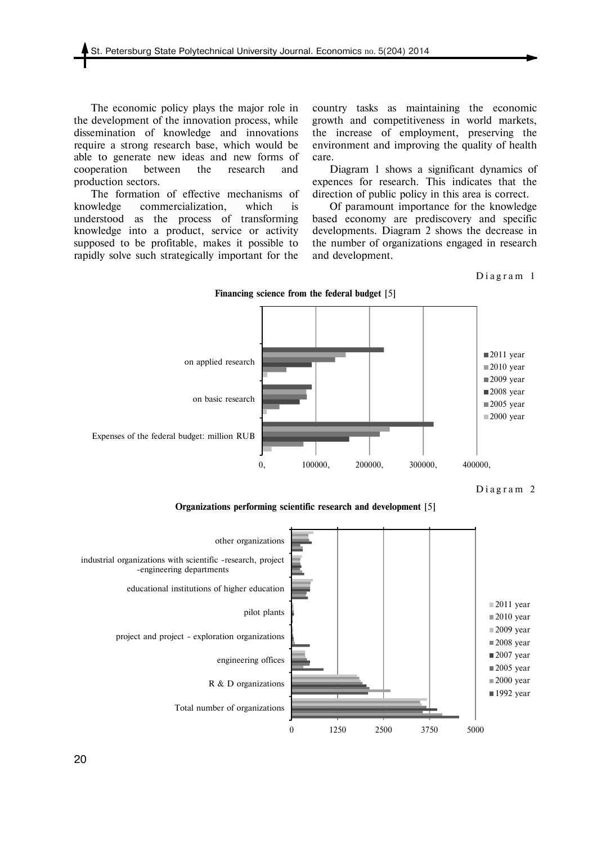The economic policy plays the major role in the development of the innovation process, while dissemination of knowledge and innovations require a strong research base, which would be able to generate new ideas and new forms of cooperation between the research and production sectors.

The formation of effective mechanisms of knowledge commercialization, which is understood as the process of transforming knowledge into a product, service or activity supposed to be profitable, makes it possible to rapidly solve such strategically important for the

country tasks as maintaining the economic growth and competitiveness in world markets, the increase of employment, preserving the environment and improving the quality of health care.

Diagram 1 shows a significant dynamics of expences for research. This indicates that the direction of public policy in this area is correct.

Of paramount importance for the knowledge based economy are prediscovery and specific developments. Diagram 2 shows the decrease in the number of organizations engaged in research and development.

Diagram 1



Diagram 2

**Organizations performing scientific research and development** [5]



20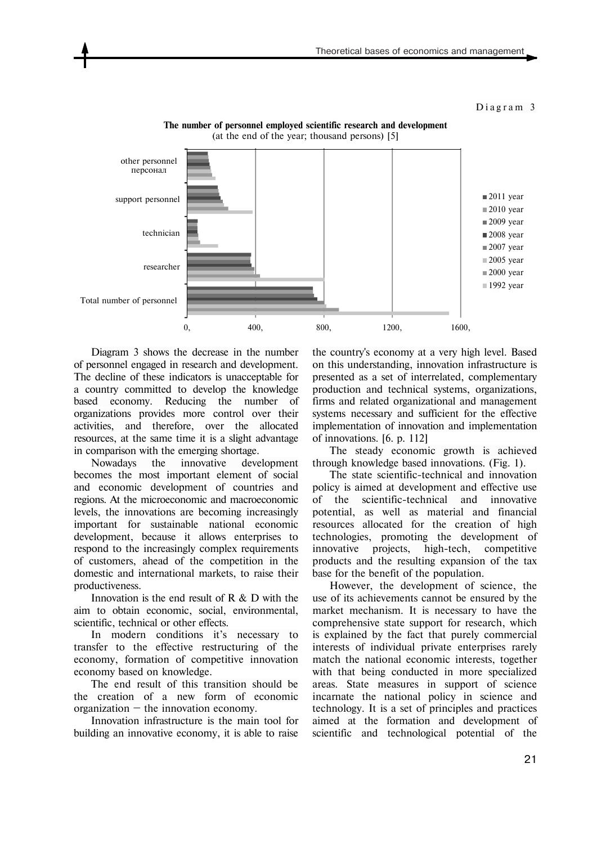#### Diagram 3



**The number of personnel employed scientific research and development**  (at the end of the year; thousand persons) [5]

Diagram 3 shows the decrease in the number of personnel engaged in research and development. The decline of these indicators is unacceptable for a country committed to develop the knowledge based economy. Reducing the number of organizations provides more control over their activities, and therefore, over the allocated resources, at the same time it is a slight advantage in comparison with the emerging shortage.

Nowadays the innovative development becomes the most important element of social and economic development of countries and regions. At the microeconomic and macroeconomic levels, the innovations are becoming increasingly important for sustainable national economic development, because it allows enterprises to respond to the increasingly complex requirements of customers, ahead of the competition in the domestic and international markets, to raise their productiveness.

Innovation is the end result of R & D with the aim to obtain economic, social, environmental, scientific, technical or other effects.

In modern conditions it's necessary to transfer to the effective restructuring of the economy, formation of competitive innovation economy based on knowledge.

The end result of this transition should be the creation of a new form of economic organization  $-$  the innovation economy.

Innovation infrastructure is the main tool for building an innovative economy, it is able to raise

the country's economy at a very high level. Based on this understanding, innovation infrastructure is presented as a set of interrelated, complementary production and technical systems, organizations, firms and related organizational and management systems necessary and sufficient for the effective implementation of innovation and implementation of innovations. [6. p. 112]

The steady economic growth is achieved through knowledge based innovations. (Fig. 1).

The state scientific-technical and innovation policy is aimed at development and effective use of the scientific-technical and innovative potential, as well as material and financial resources allocated for the creation of high technologies, promoting the development of innovative projects, high-tech, competitive products and the resulting expansion of the tax base for the benefit of the population.

However, the development of science, the use of its achievements cannot be ensured by the market mechanism. It is necessary to have the comprehensive state support for research, which is explained by the fact that purely commercial interests of individual private enterprises rarely match the national economic interests, together with that being conducted in more specialized areas. State measures in support of science incarnate the national policy in science and technology. It is a set of principles and practices aimed at the formation and development of scientific and technological potential of the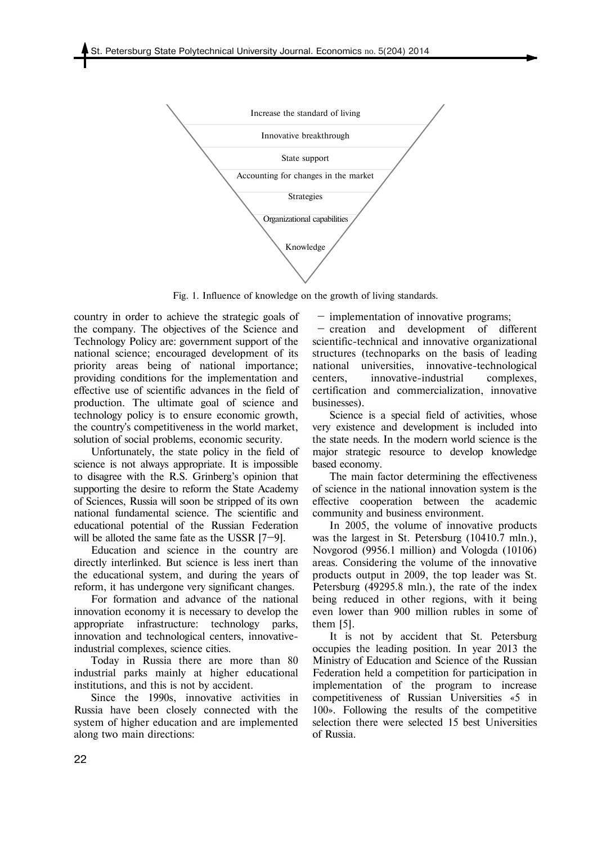

Fig. 1. Influence of knowledge on the growth of living standards.

country in order to achieve the strategic goals of the company. The objectives of the Science and Technology Policy are: government support of the national science; encouraged development of its priority areas being of national importance; providing conditions for the implementation and effective use of scientific advances in the field of production. The ultimate goal of science and technology policy is to ensure economic growth, the country's competitiveness in the world market, solution of social problems, economic security.

Unfortunately, the state policy in the field of science is not always appropriate. It is impossible to disagree with the R.S. Grinberg's opinion that supporting the desire to reform the State Academy of Sciences, Russia will soon be stripped of its own national fundamental science. The scientific and educational potential of the Russian Federation will be alloted the same fate as the USSR [7-9].

Education and science in the country are directly interlinked. But science is less inert than the educational system, and during the years of reform, it has undergone very significant changes.

For formation and advance of the national innovation economy it is necessary to develop the appropriate infrastructure: technology parks, innovation and technological centers, innovativeindustrial complexes, science cities.

Today in Russia there are more than 80 industrial parks mainly at higher educational institutions, and this is not by accident.

Since the 1990s, innovative activities in Russia have been closely connected with the system of higher education and are implemented along two main directions:

 — implementation of innovative programs; — creation and development of different scientific-technical and innovative organizational structures (technoparks on the basis of leading national universities, innovative-technological centers, innovative-industrial complexes, certification and commercialization, innovative businesses).

Science is a special field of activities, whose very existence and development is included into the state needs. In the modern world science is the major strategic resource to develop knowledge based economy.

The main factor determining the effectiveness of science in the national innovation system is the effective cooperation between the academic community and business environment.

In 2005, the volume of innovative products was the largest in St. Petersburg (10410.7 mln.), Novgorod (9956.1 million) and Vologda (10106) areas. Considering the volume of the innovative products output in 2009, the top leader was St. Petersburg (49295.8 mln.), the rate of the index being reduced in other regions, with it being even lower than 900 million rubles in some of them [5].

It is not by accident that St. Petersburg occupies the leading position. In year 2013 the Ministry of Education and Science of the Russian Federation held a competition for participation in implementation of the program to increase competitiveness of Russian Universities «5 in 100». Following the results of the competitive selection there were selected 15 best Universities of Russia.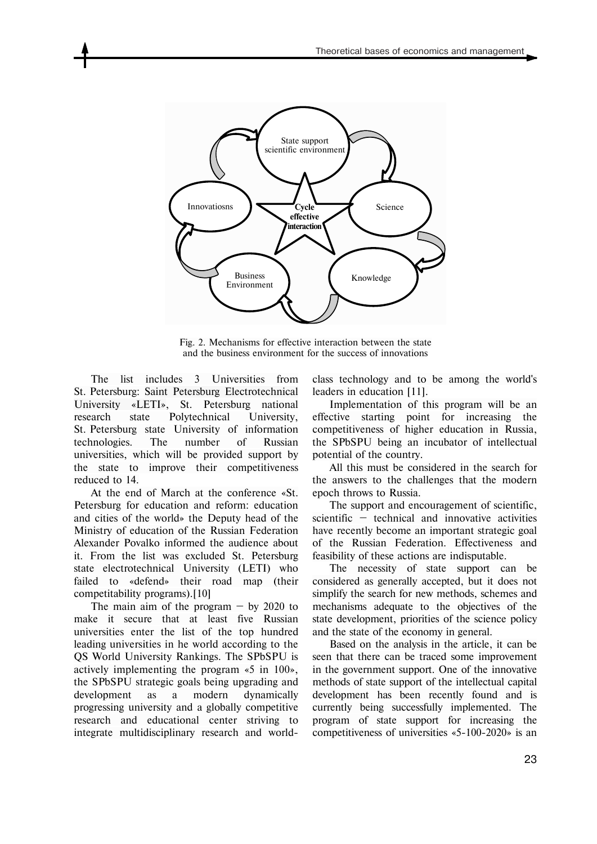

Fig. 2. Mechanisms for effective interaction between the state and the business environment for the success of innovations

The list includes 3 Universities from St. Petersburg: Saint Petersburg Electrotechnical University «LETI», St. Petersburg national research state Polytechnical University, St. Petersburg state University of information technologies. The number of Russian universities, which will be provided support by the state to improve their competitiveness reduced to 14.

At the end of March at the conference «St. Petersburg for education and reform: education and cities of the world» the Deputy head of the Ministry of education of the Russian Federation Alexander Povalko informed the audience about it. From the list was excluded St. Petersburg state electrotechnical University (LETI) who failed to «defend» their road map (their competitability programs).[10]

The main aim of the program  $-$  by 2020 to make it secure that at least five Russian universities enter the list of the top hundred leading universities in he world according to the QS World University Rankings. The SPbSPU is actively implementing the program «5 in 100», the SPbSPU strategic goals being upgrading and development as a modern dynamically progressing university and a globally competitive research and educational center striving to integrate multidisciplinary research and worldclass technology and to be among the world's leaders in education [11].

Implementation of this program will be an effective starting point for increasing the competitiveness of higher education in Russia, the SPbSPU being an incubator of intellectual potential of the country.

All this must be considered in the search for the answers to the challenges that the modern epoch throws to Russia.

The support and encouragement of scientific, scientific — technical and innovative activities have recently become an important strategic goal of the Russian Federation. Effectiveness and feasibility of these actions are indisputable.

The necessity of state support can be considered as generally accepted, but it does not simplify the search for new methods, schemes and mechanisms adequate to the objectives of the state development, priorities of the science policy and the state of the economy in general.

Based on the analysis in the article, it can be seen that there can be traced some improvement in the government support. One of the innovative methods of state support of the intellectual capital development has been recently found and is currently being successfully implemented. The program of state support for increasing the competitiveness of universities «5-100-2020» is an